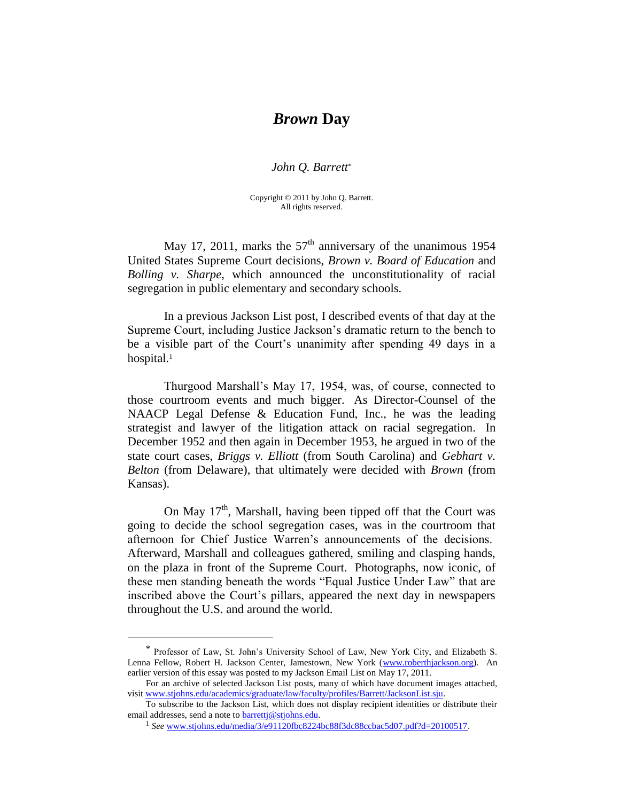## *Brown* **Day**

*John Q. Barrett*\*

Copyright © 2011 by John Q. Barrett. All rights reserved.

May 17, 2011, marks the  $57<sup>th</sup>$  anniversary of the unanimous 1954 United States Supreme Court decisions, *Brown v. Board of Education* and *Bolling v. Sharpe*, which announced the unconstitutionality of racial segregation in public elementary and secondary schools.

In a previous Jackson List post, I described events of that day at the Supreme Court, including Justice Jackson's dramatic return to the bench to be a visible part of the Court's unanimity after spending 49 days in a hospital. 1

Thurgood Marshall's May 17, 1954, was, of course, connected to those courtroom events and much bigger. As Director-Counsel of the NAACP Legal Defense & Education Fund, Inc., he was the leading strategist and lawyer of the litigation attack on racial segregation. In December 1952 and then again in December 1953, he argued in two of the state court cases, *Briggs v. Elliott* (from South Carolina) and *Gebhart v. Belton* (from Delaware), that ultimately were decided with *Brown* (from Kansas).

On May  $17<sup>th</sup>$ , Marshall, having been tipped off that the Court was going to decide the school segregation cases, was in the courtroom that afternoon for Chief Justice Warren's announcements of the decisions. Afterward, Marshall and colleagues gathered, smiling and clasping hands, on the plaza in front of the Supreme Court. Photographs, now iconic, of these men standing beneath the words "Equal Justice Under Law" that are inscribed above the Court's pillars, appeared the next day in newspapers throughout the U.S. and around the world.

 $\overline{a}$ 

<sup>\*</sup> Professor of Law, St. John's University School of Law, New York City, and Elizabeth S. Lenna Fellow, Robert H. Jackson Center, Jamestown, New York [\(www.roberthjackson.org\)](http://www.roberthjackson.org/). An earlier version of this essay was posted to my Jackson Email List on May 17, 2011.

For an archive of selected Jackson List posts, many of which have document images attached, visit [www.stjohns.edu/academics/graduate/law/faculty/profiles/Barrett/JacksonList.sju.](http://www.stjohns.edu/academics/graduate/law/faculty/profiles/Barrett/JacksonList.sju)

To subscribe to the Jackson List, which does not display recipient identities or distribute their email addresses, send a note to [barrettj@stjohns.edu.](mailto:barrettj@stjohns.edu)

<sup>1</sup> *See* [www.stjohns.edu/media/3/e91120fbc8224bc88f3dc88ccbac5d07.pdf?d=20100517.](http://www.stjohns.edu/media/3/e91120fbc8224bc88f3dc88ccbac5d07.pdf?d=20100517)